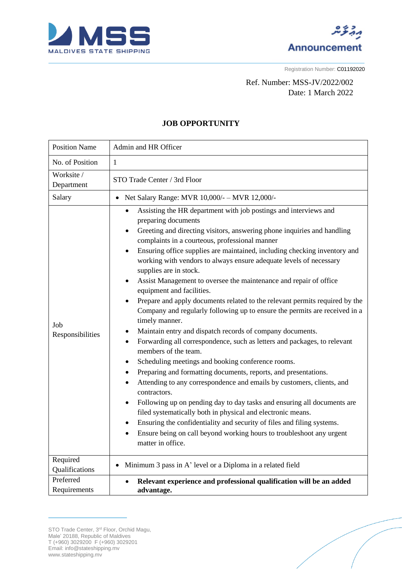



Registration Number: C01192020

## Ref. Number: MSS-JV/2022/002 Date: 1 March 2022

## **JOB OPPORTUNITY**

| <b>Position Name</b>       | Admin and HR Officer                                                                                                                                                                                                                                                                                                                                                                                                                                                                                                                                                                                                                                                                                                                                                                                                                                                                                                                                                                                                                                                                                                                                                                                                                                                                                                                                                                                                                                                                    |
|----------------------------|-----------------------------------------------------------------------------------------------------------------------------------------------------------------------------------------------------------------------------------------------------------------------------------------------------------------------------------------------------------------------------------------------------------------------------------------------------------------------------------------------------------------------------------------------------------------------------------------------------------------------------------------------------------------------------------------------------------------------------------------------------------------------------------------------------------------------------------------------------------------------------------------------------------------------------------------------------------------------------------------------------------------------------------------------------------------------------------------------------------------------------------------------------------------------------------------------------------------------------------------------------------------------------------------------------------------------------------------------------------------------------------------------------------------------------------------------------------------------------------------|
| No. of Position            | $\mathbf{1}$                                                                                                                                                                                                                                                                                                                                                                                                                                                                                                                                                                                                                                                                                                                                                                                                                                                                                                                                                                                                                                                                                                                                                                                                                                                                                                                                                                                                                                                                            |
| Worksite /<br>Department   | STO Trade Center / 3rd Floor                                                                                                                                                                                                                                                                                                                                                                                                                                                                                                                                                                                                                                                                                                                                                                                                                                                                                                                                                                                                                                                                                                                                                                                                                                                                                                                                                                                                                                                            |
| Salary                     | Net Salary Range: MVR 10,000/- - MVR 12,000/-                                                                                                                                                                                                                                                                                                                                                                                                                                                                                                                                                                                                                                                                                                                                                                                                                                                                                                                                                                                                                                                                                                                                                                                                                                                                                                                                                                                                                                           |
| Job<br>Responsibilities    | Assisting the HR department with job postings and interviews and<br>$\bullet$<br>preparing documents<br>Greeting and directing visitors, answering phone inquiries and handling<br>٠<br>complaints in a courteous, professional manner<br>Ensuring office supplies are maintained, including checking inventory and<br>$\bullet$<br>working with vendors to always ensure adequate levels of necessary<br>supplies are in stock.<br>Assist Management to oversee the maintenance and repair of office<br>$\bullet$<br>equipment and facilities.<br>Prepare and apply documents related to the relevant permits required by the<br>$\bullet$<br>Company and regularly following up to ensure the permits are received in a<br>timely manner.<br>Maintain entry and dispatch records of company documents.<br>Forwarding all correspondence, such as letters and packages, to relevant<br>$\bullet$<br>members of the team.<br>Scheduling meetings and booking conference rooms.<br>٠<br>Preparing and formatting documents, reports, and presentations.<br>٠<br>Attending to any correspondence and emails by customers, clients, and<br>contractors.<br>Following up on pending day to day tasks and ensuring all documents are<br>$\bullet$<br>filed systematically both in physical and electronic means.<br>Ensuring the confidentiality and security of files and filing systems.<br>٠<br>Ensure being on call beyond working hours to troubleshoot any urgent<br>matter in office. |
| Required<br>Qualifications | Minimum 3 pass in A' level or a Diploma in a related field                                                                                                                                                                                                                                                                                                                                                                                                                                                                                                                                                                                                                                                                                                                                                                                                                                                                                                                                                                                                                                                                                                                                                                                                                                                                                                                                                                                                                              |
| Preferred<br>Requirements  | Relevant experience and professional qualification will be an added<br>$\bullet$<br>advantage.                                                                                                                                                                                                                                                                                                                                                                                                                                                                                                                                                                                                                                                                                                                                                                                                                                                                                                                                                                                                                                                                                                                                                                                                                                                                                                                                                                                          |

STO Trade Center, 3<sup>rd</sup> Floor, Orchid Magu, Male' 20188, Republic of Maldives T (+960) 3029200 F (+960) 3029201 Email: info@stateshipping.mv www.stateshipping.mv